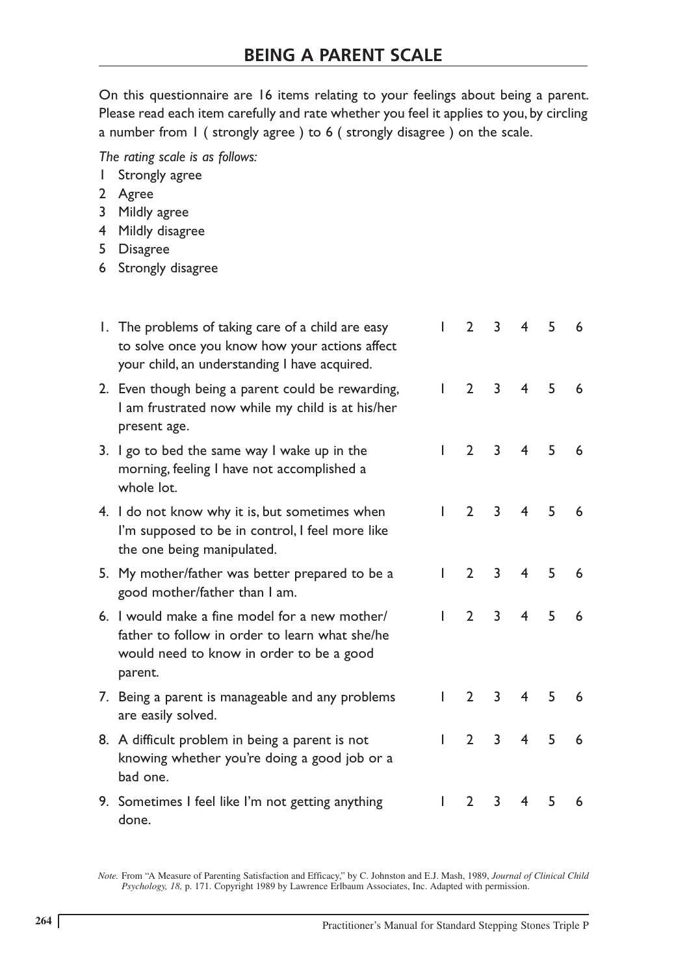On this questionnaire are 16 items relating to your feelings about being a parent. Please read each item carefully and rate whether you feel it applies to you, by circling a number from 1 ( strongly agree ) to 6 ( strongly disagree ) on the scale.

*The rating scale is as follows:*

- 1 Strongly agree
- 2 Agree
- 3 Mildly agree
- 4 Mildly disagree
- 5 Disagree
- 6 Strongly disagree

| 1. The problems of taking care of a child are easy<br>to solve once you know how your actions affect<br>your child, an understanding I have acquired.   | I            | $\mathcal{D}$  | 3              | $\overline{4}$ | 5 | 6 |
|---------------------------------------------------------------------------------------------------------------------------------------------------------|--------------|----------------|----------------|----------------|---|---|
| 2. Even though being a parent could be rewarding,<br>I am frustrated now while my child is at his/her<br>present age.                                   | L            | $\overline{2}$ | $\overline{3}$ | $\overline{4}$ | 5 | 6 |
| 3. I go to bed the same way I wake up in the<br>morning, feeling I have not accomplished a<br>whole lot.                                                | $\mathbf{L}$ | $\mathcal{P}$  | 3              | $\overline{4}$ | 5 | 6 |
| 4. I do not know why it is, but sometimes when<br>I'm supposed to be in control, I feel more like<br>the one being manipulated.                         |              | $\mathcal{D}$  | 3              | $\overline{4}$ | 5 | 6 |
| 5. My mother/father was better prepared to be a<br>good mother/father than I am.                                                                        | L            | $\overline{2}$ | 3              | 4              | 5 | 6 |
| 6. I would make a fine model for a new mother/<br>father to follow in order to learn what she/he<br>would need to know in order to be a good<br>parent. | L            | $\mathcal{P}$  | 3              | 4              | 5 | 6 |
| 7. Being a parent is manageable and any problems<br>are easily solved.                                                                                  |              | $\overline{2}$ | 3              | 4              | 5 | 6 |
| 8. A difficult problem in being a parent is not<br>knowing whether you're doing a good job or a<br>bad one.                                             | I            | $2^{\circ}$    | 3              | $\overline{4}$ | 5 | 6 |
| 9. Sometimes I feel like I'm not getting anything<br>done.                                                                                              |              | $\mathcal{P}$  | 3              | 4              | 5 | 6 |

Note. From "A Measure of Parenting Satisfaction and Efficacy," by C. Johnston and E.J. Mash, 1989, Journal of Clinical Child Psychology, 18, p. 171. Copyright 1989 by Lawrence Erlbaum Associates, Inc. Adapted with permissi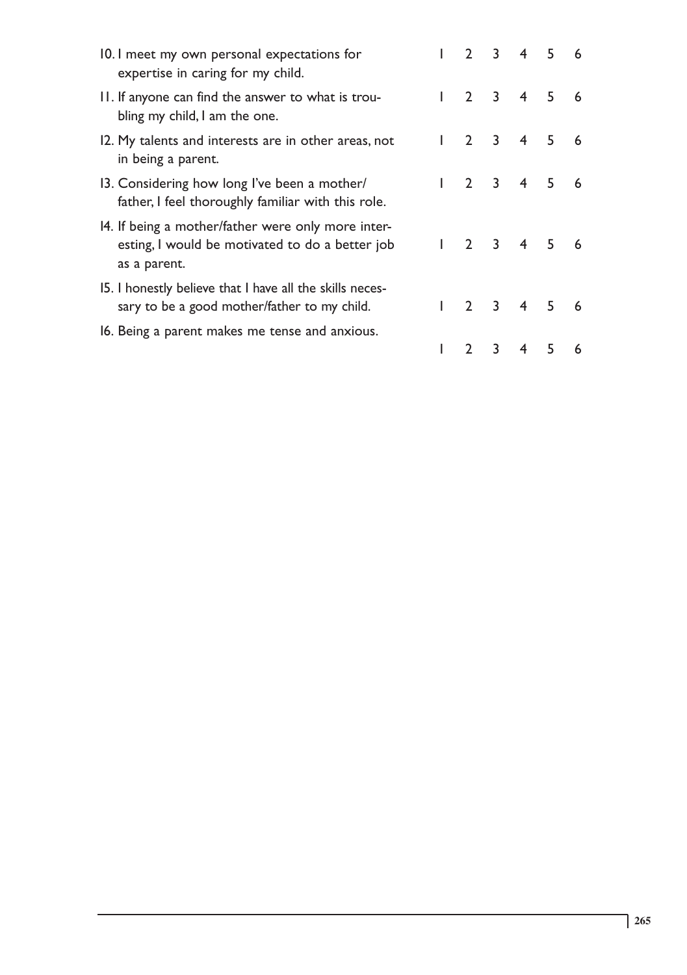| 10.1 meet my own personal expectations for<br>expertise in caring for my child.                                       |              |               |   | $2 \t3 \t4 \t5$             |   | 6  |
|-----------------------------------------------------------------------------------------------------------------------|--------------|---------------|---|-----------------------------|---|----|
| II. If anyone can find the answer to what is trou-<br>bling my child, I am the one.                                   | $\mathbf{L}$ |               |   | $2 \quad 3 \quad 4 \quad 5$ |   | 6  |
| 12. My talents and interests are in other areas, not<br>in being a parent.                                            |              |               |   | $2 \quad 3 \quad 4 \quad 5$ |   | 6  |
| 13. Considering how long I've been a mother/<br>father, I feel thoroughly familiar with this role.                    |              |               |   | 2 3 4 5                     |   | -6 |
| 14. If being a mother/father were only more inter-<br>esting, I would be motivated to do a better job<br>as a parent. |              |               |   | $1 \t2 \t3 \t4 \t5$         |   | 6  |
| 15. I honestly believe that I have all the skills neces-<br>sary to be a good mother/father to my child.              |              |               |   | $2 \t3 \t4 \t5$             |   | 6  |
| 16. Being a parent makes me tense and anxious.                                                                        |              | $\mathcal{P}$ | 3 | 4                           | 5 | 6  |